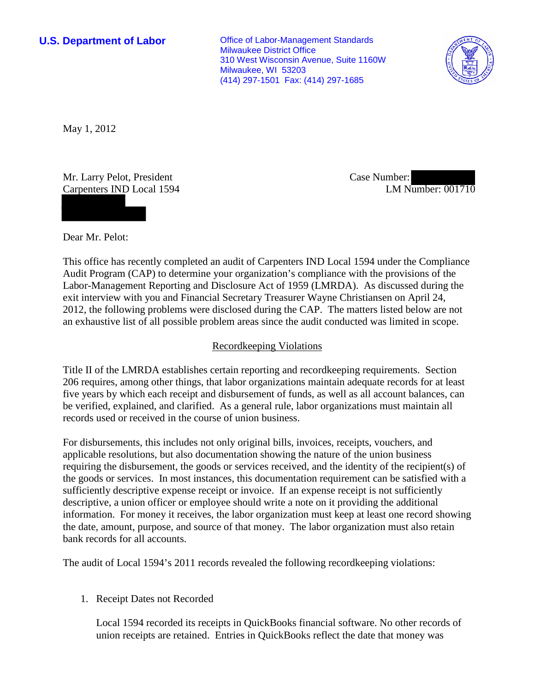**U.S. Department of Labor Office of Labor-Management Standards** Milwaukee District Office 310 West Wisconsin Avenue, Suite 1160W Milwaukee, WI 53203 (414) 297-1501 Fax: (414) 297-1685



May 1, 2012

Mr. Larry Pelot, President Carpenters IND Local 1594 Case Number: LM Number: 001710

Dear Mr. Pelot:

This office has recently completed an audit of Carpenters IND Local 1594 under the Compliance Audit Program (CAP) to determine your organization's compliance with the provisions of the Labor-Management Reporting and Disclosure Act of 1959 (LMRDA). As discussed during the exit interview with you and Financial Secretary Treasurer Wayne Christiansen on April 24, 2012, the following problems were disclosed during the CAP. The matters listed below are not an exhaustive list of all possible problem areas since the audit conducted was limited in scope.

## Recordkeeping Violations

Title II of the LMRDA establishes certain reporting and recordkeeping requirements. Section 206 requires, among other things, that labor organizations maintain adequate records for at least five years by which each receipt and disbursement of funds, as well as all account balances, can be verified, explained, and clarified. As a general rule, labor organizations must maintain all records used or received in the course of union business.

For disbursements, this includes not only original bills, invoices, receipts, vouchers, and applicable resolutions, but also documentation showing the nature of the union business requiring the disbursement, the goods or services received, and the identity of the recipient(s) of the goods or services. In most instances, this documentation requirement can be satisfied with a sufficiently descriptive expense receipt or invoice. If an expense receipt is not sufficiently descriptive, a union officer or employee should write a note on it providing the additional information. For money it receives, the labor organization must keep at least one record showing the date, amount, purpose, and source of that money. The labor organization must also retain bank records for all accounts.

The audit of Local 1594's 2011 records revealed the following recordkeeping violations:

#### 1. Receipt Dates not Recorded

Local 1594 recorded its receipts in QuickBooks financial software. No other records of union receipts are retained. Entries in QuickBooks reflect the date that money was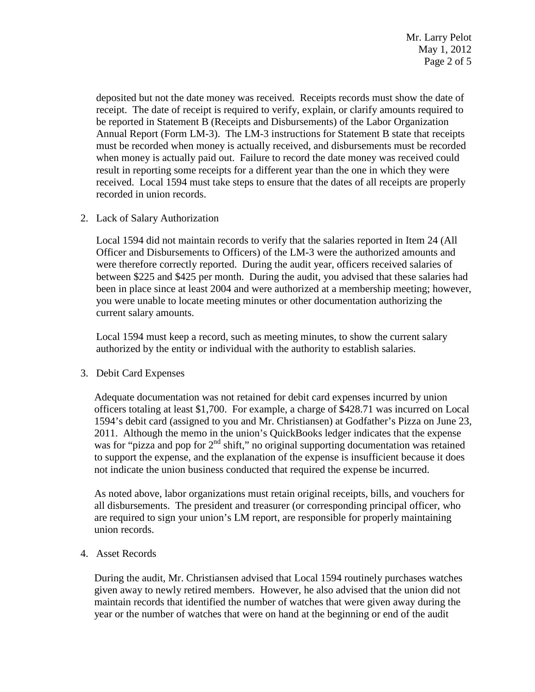deposited but not the date money was received. Receipts records must show the date of receipt. The date of receipt is required to verify, explain, or clarify amounts required to be reported in Statement B (Receipts and Disbursements) of the Labor Organization Annual Report (Form LM-3). The LM-3 instructions for Statement B state that receipts must be recorded when money is actually received, and disbursements must be recorded when money is actually paid out. Failure to record the date money was received could result in reporting some receipts for a different year than the one in which they were received. Local 1594 must take steps to ensure that the dates of all receipts are properly recorded in union records.

## 2. Lack of Salary Authorization

Local 1594 did not maintain records to verify that the salaries reported in Item 24 (All Officer and Disbursements to Officers) of the LM-3 were the authorized amounts and were therefore correctly reported. During the audit year, officers received salaries of between \$225 and \$425 per month. During the audit, you advised that these salaries had been in place since at least 2004 and were authorized at a membership meeting; however, you were unable to locate meeting minutes or other documentation authorizing the current salary amounts.

Local 1594 must keep a record, such as meeting minutes, to show the current salary authorized by the entity or individual with the authority to establish salaries.

# 3. Debit Card Expenses

Adequate documentation was not retained for debit card expenses incurred by union officers totaling at least \$1,700. For example, a charge of \$428.71 was incurred on Local 1594's debit card (assigned to you and Mr. Christiansen) at Godfather's Pizza on June 23, 2011. Although the memo in the union's QuickBooks ledger indicates that the expense was for "pizza and pop for  $2<sup>nd</sup>$  shift," no original supporting documentation was retained to support the expense, and the explanation of the expense is insufficient because it does not indicate the union business conducted that required the expense be incurred.

As noted above, labor organizations must retain original receipts, bills, and vouchers for all disbursements. The president and treasurer (or corresponding principal officer, who are required to sign your union's LM report, are responsible for properly maintaining union records.

4. Asset Records

During the audit, Mr. Christiansen advised that Local 1594 routinely purchases watches given away to newly retired members. However, he also advised that the union did not maintain records that identified the number of watches that were given away during the year or the number of watches that were on hand at the beginning or end of the audit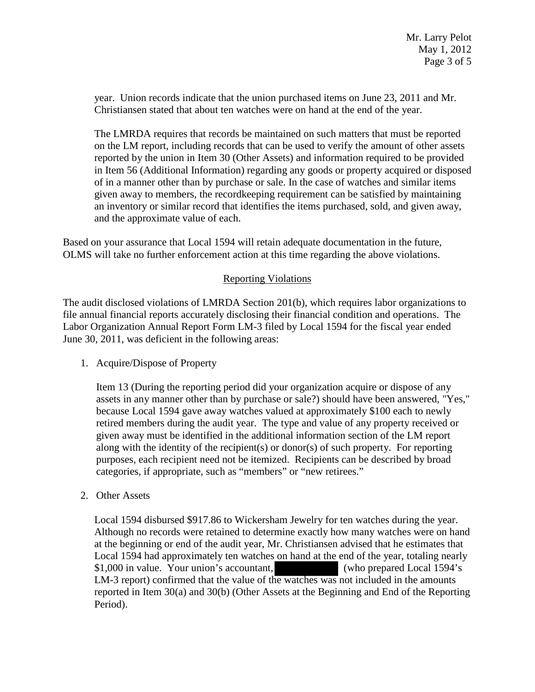year. Union records indicate that the union purchased items on June 23, 2011 and Mr. Christiansen stated that about ten watches were on hand at the end of the year.

The LMRDA requires that records be maintained on such matters that must be reported on the LM report, including records that can be used to verify the amount of other assets reported by the union in Item 30 (Other Assets) and information required to be provided in Item 56 (Additional Information) regarding any goods or property acquired or disposed of in a manner other than by purchase or sale. In the case of watches and similar items given away to members, the recordkeeping requirement can be satisfied by maintaining an inventory or similar record that identifies the items purchased, sold, and given away, and the approximate value of each.

Based on your assurance that Local 1594 will retain adequate documentation in the future, OLMS will take no further enforcement action at this time regarding the above violations.

# Reporting Violations

The audit disclosed violations of LMRDA Section 201(b), which requires labor organizations to file annual financial reports accurately disclosing their financial condition and operations. The Labor Organization Annual Report Form LM-3 filed by Local 1594 for the fiscal year ended June 30, 2011, was deficient in the following areas:

#### 1. Acquire/Dispose of Property

Item 13 (During the reporting period did your organization acquire or dispose of any assets in any manner other than by purchase or sale?) should have been answered, "Yes," because Local 1594 gave away watches valued at approximately \$100 each to newly retired members during the audit year. The type and value of any property received or given away must be identified in the additional information section of the LM report along with the identity of the recipient(s) or donor(s) of such property. For reporting purposes, each recipient need not be itemized. Recipients can be described by broad categories, if appropriate, such as "members" or "new retirees."

2. Other Assets

Local 1594 disbursed \$917.86 to Wickersham Jewelry for ten watches during the year. Although no records were retained to determine exactly how many watches were on hand at the beginning or end of the audit year, Mr. Christiansen advised that he estimates that Local 1594 had approximately ten watches on hand at the end of the year, totaling nearly \$1,000 in value. Your union's accountant, (who prepared Local 1594's LM-3 report) confirmed that the value of the watches was not included in the amounts reported in Item 30(a) and 30(b) (Other Assets at the Beginning and End of the Reporting Period).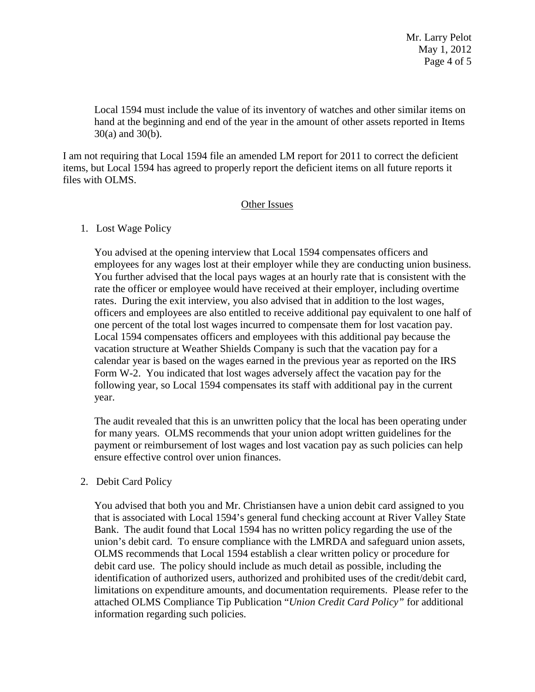Local 1594 must include the value of its inventory of watches and other similar items on hand at the beginning and end of the year in the amount of other assets reported in Items 30(a) and 30(b).

I am not requiring that Local 1594 file an amended LM report for 2011 to correct the deficient items, but Local 1594 has agreed to properly report the deficient items on all future reports it files with OLMS.

## Other Issues

## 1. Lost Wage Policy

You advised at the opening interview that Local 1594 compensates officers and employees for any wages lost at their employer while they are conducting union business. You further advised that the local pays wages at an hourly rate that is consistent with the rate the officer or employee would have received at their employer, including overtime rates. During the exit interview, you also advised that in addition to the lost wages, officers and employees are also entitled to receive additional pay equivalent to one half of one percent of the total lost wages incurred to compensate them for lost vacation pay. Local 1594 compensates officers and employees with this additional pay because the vacation structure at Weather Shields Company is such that the vacation pay for a calendar year is based on the wages earned in the previous year as reported on the IRS Form W-2. You indicated that lost wages adversely affect the vacation pay for the following year, so Local 1594 compensates its staff with additional pay in the current year.

The audit revealed that this is an unwritten policy that the local has been operating under for many years. OLMS recommends that your union adopt written guidelines for the payment or reimbursement of lost wages and lost vacation pay as such policies can help ensure effective control over union finances.

# 2. Debit Card Policy

You advised that both you and Mr. Christiansen have a union debit card assigned to you that is associated with Local 1594's general fund checking account at River Valley State Bank. The audit found that Local 1594 has no written policy regarding the use of the union's debit card. To ensure compliance with the LMRDA and safeguard union assets, OLMS recommends that Local 1594 establish a clear written policy or procedure for debit card use. The policy should include as much detail as possible, including the identification of authorized users, authorized and prohibited uses of the credit/debit card, limitations on expenditure amounts, and documentation requirements. Please refer to the attached OLMS Compliance Tip Publication "*Union Credit Card Policy"* for additional information regarding such policies.